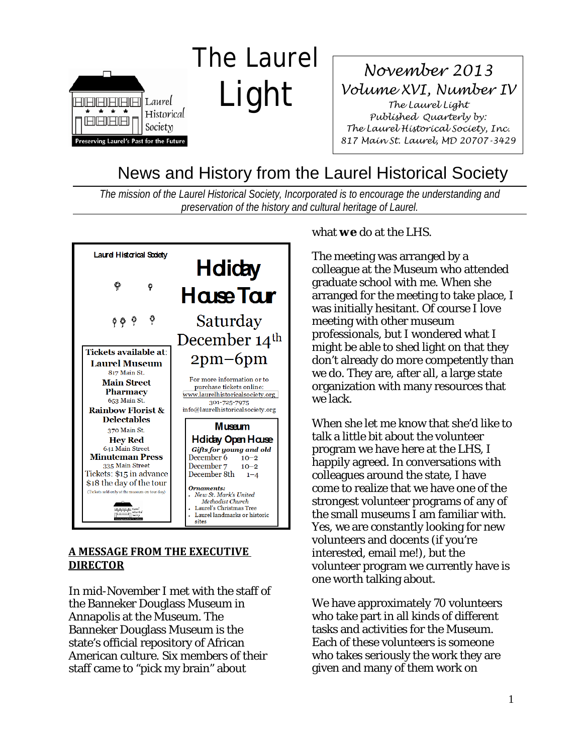

## *November 2013 Volume XVI, Number IV The Laurel Light Published Quarterly by: The Laurel Historical Society, Inc. 817 Main St. Laurel, MD 20707-3429*

# News and History from the Laurel Historical Society

*The mission of the Laurel Historical Society, Incorporated is to encourage the understanding and preservation of the history and cultural heritage of Laurel.*

Light



#### **A MESSAGE FROM THE EXECUTIVE DIRECTOR**

In mid-November I met with the staff of the Banneker Douglass Museum in Annapolis at the Museum. The Banneker Douglass Museum is the state's official repository of African American culture. Six members of their staff came to "pick my brain" about

#### what *we* do at the LHS.

The meeting was arranged by a colleague at the Museum who attended graduate school with me. When she arranged for the meeting to take place, I was initially hesitant. Of course I love meeting with other museum professionals, but I wondered what I might be able to shed light on that they don't already do more competently than we do. They are, after all, a large state organization with many resources that we lack.

When she let me know that she'd like to talk a little bit about the volunteer program we have here at the LHS, I happily agreed. In conversations with colleagues around the state, I have come to realize that we have one of the strongest volunteer programs of any of the small museums I am familiar with. Yes, we are constantly looking for new volunteers and docents (if you're interested, email me!), but the volunteer program we currently have is one worth talking about.

We have approximately 70 volunteers who take part in all kinds of different tasks and activities for the Museum. Each of these volunteers is someone who takes seriously the work they are given and many of them work on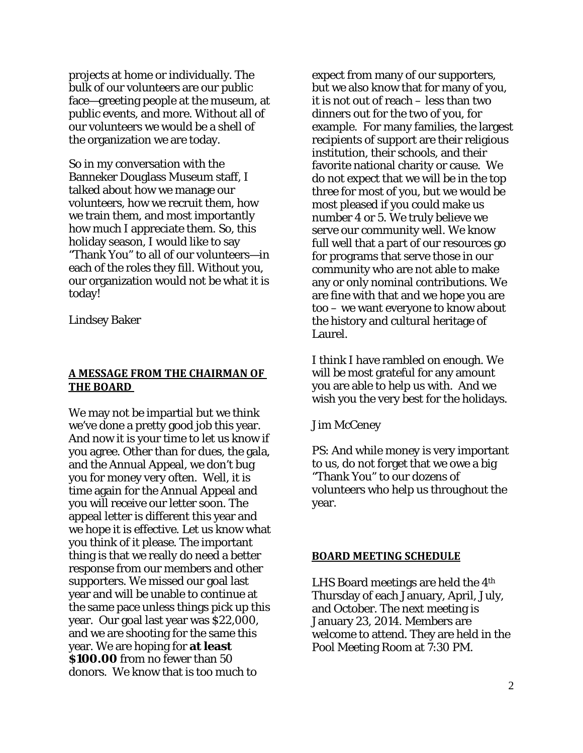projects at home or individually. The bulk of our volunteers are our public face—greeting people at the museum, at public events, and more. Without all of our volunteers we would be a shell of the organization we are today.

So in my conversation with the Banneker Douglass Museum staff, I talked about how we manage our volunteers, how we recruit them, how we train them, and most importantly how much I appreciate them. So, this holiday season, I would like to say "Thank You" to all of our volunteers—in each of the roles they fill. Without you, our organization would not be what it is today!

Lindsey Baker

#### **A MESSAGE FROM THE CHAIRMAN OF THE BOARD**

We may not be impartial but we think we've done a pretty good job this year. And now it is your time to let us know if you agree. Other than for dues, the gala, and the Annual Appeal, we don't bug you for money very often. Well, it is time again for the Annual Appeal and you will receive our letter soon. The appeal letter is different this year and we hope it is effective. Let us know what you think of it please. The important thing is that we really do need a better response from our members and other supporters. We missed our goal last year and will be unable to continue at the same pace unless things pick up this year. Our goal last year was \$22,000, and we are shooting for the same this year. We are hoping for **at least \$100.00** from no fewer than 50 donors. We know that is too much to

expect from many of our supporters, but we also know that for many of you, it is not out of reach – less than two dinners out for the two of you, for example. For many families, the largest recipients of support are their religious institution, their schools, and their favorite national charity or cause. We do not expect that we will be in the top three for most of you, but we would be most pleased if you could make us number 4 or 5. We truly believe we serve our community well. We know full well that a part of our resources go for programs that serve those in our community who are not able to make any or only nominal contributions. We are fine with that and we hope you are too – we want everyone to know about the history and cultural heritage of Laurel.

I think I have rambled on enough. We will be most grateful for any amount you are able to help us with. And we wish you the very best for the holidays.

Jim McCeney

PS: And while money is very important to us, do not forget that we owe a big "Thank You" to our dozens of volunteers who help us throughout the year.

#### **BOARD MEETING SCHEDULE**

LHS Board meetings are held the 4th Thursday of each January, April, July, and October. The next meeting is January 23, 2014. Members are welcome to attend. They are held in the Pool Meeting Room at 7:30 PM.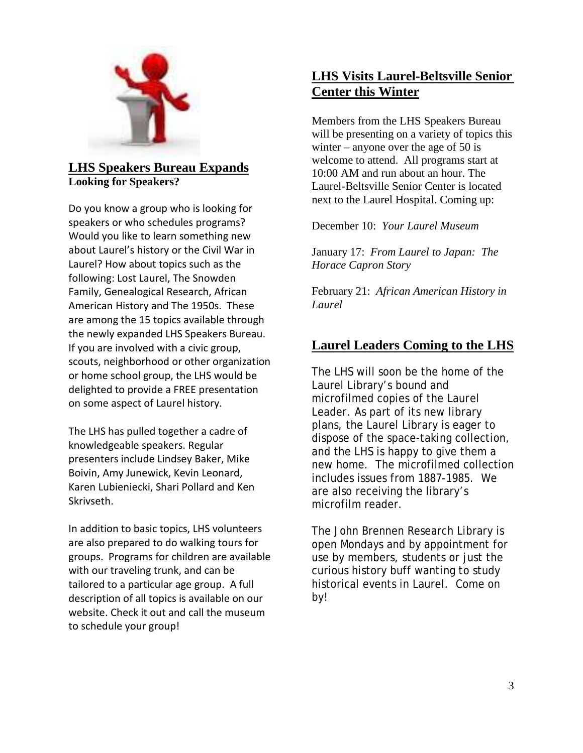

## **Looking for Speakers? LHS Speakers Bureau Expands**

Do you know a group who is looking for speakers or who schedules programs? Would you like to learn something new about Laurel's history or the Civil War in Laurel? How about topics such as the following: Lost Laurel, The Snowden Family, Genealogical Research, African American History and The 1950s. These are among the 15 topics available through the newly expanded LHS Speakers Bureau. If you are involved with a civic group, scouts, neighborhood or other organization or home school group, the LHS would be delighted to provide a FREE presentation on some aspect of Laurel history.

The LHS has pulled together a cadre of knowledgeable speakers. Regular presenters include Lindsey Baker, Mike Boivin, Amy Junewick, Kevin Leonard, Karen Lubieniecki, Shari Pollard and Ken Skrivseth.

In addition to basic topics, LHS volunteers are also prepared to do walking tours for groups. Programs for children are available with our traveling trunk, and can be tailored to a particular age group. A full description of all topics is available on our website. Check it out and call the museum to schedule your group!

## **LHS Visits Laurel-Beltsville Senior Center this Winter**

Members from the LHS Speakers Bureau will be presenting on a variety of topics this winter – anyone over the age of  $50$  is welcome to attend. All programs start at 10:00 AM and run about an hour. The Laurel-Beltsville Senior Center is located next to the Laurel Hospital. Coming up:

December 10: *Your Laurel Museum*

January 17: *From Laurel to Japan: The Horace Capron Story*

February 21: *African American History in Laurel*

## **Laurel Leaders Coming to the LHS**

The LHS will soon be the home of the Laurel Library's bound and microfilmed copies of the *Laurel Leader*. As part of its new library plans, the Laurel Library is eager to dispose of the space-taking collection, and the LHS is happy to give them a new home. The microfilmed collection includes issues from 1887-1985. We are also receiving the library's microfilm reader.

The John Brennen Research Library is open Mondays and by appointment for use by members, students or just the curious history buff wanting to study historical events in Laurel. Come on by!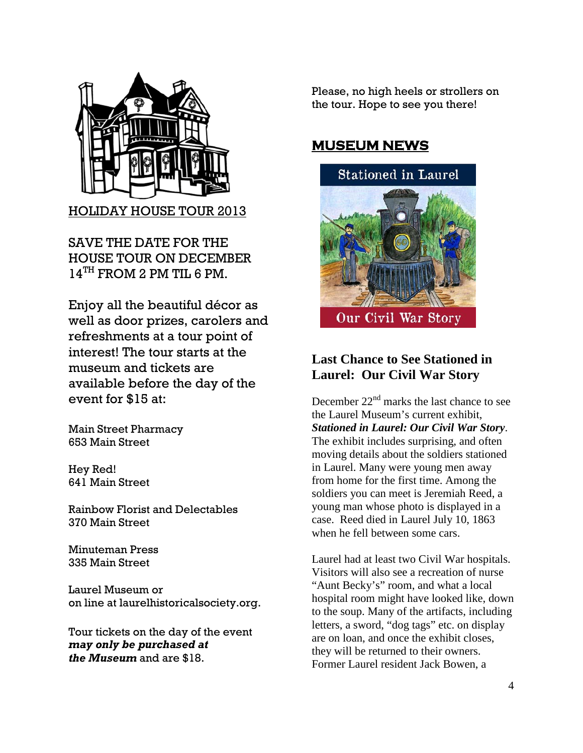

HOLIDAY HOUSE TOUR 2013

SAVE THE DATE FOR THE HOUSE TOUR ON DECEMBER 14TH FROM 2 PM TIL 6 PM.

Enjoy all the beautiful décor as well as door prizes, carolers and refreshments at a tour point of interest! The tour starts at the museum and tickets are available before the day of the event for \$15 at:

Main Street Pharmacy 653 Main Street

Hey Red! 641 Main Street

Rainbow Florist and Delectables 370 Main Street

Minuteman Press 335 Main Street

Laurel Museum or on line at laurelhistoricalsociety.org.

Tour tickets on the day of the event *may only be purchased at the Museum* and are \$18.

Please, no high heels or strollers on the tour. Hope to see you there!

## **MUSEUM NEWS**



## **Last Chance to See Stationed in Laurel: Our Civil War Story**

December  $22<sup>nd</sup>$  marks the last chance to see the Laurel Museum's current exhibit, *Stationed in Laurel: Our Civil War Story*. The exhibit includes surprising, and often moving details about the soldiers stationed in Laurel. Many were young men away from home for the first time. Among the soldiers you can meet is Jeremiah Reed, a young man whose photo is displayed in a case. Reed died in Laurel July 10, 1863 when he fell between some cars.

Laurel had at least two Civil War hospitals. Visitors will also see a recreation of nurse "Aunt Becky's" room, and what a local hospital room might have looked like, down to the soup. Many of the artifacts, including letters, a sword, "dog tags" etc. on display are on loan, and once the exhibit closes, they will be returned to their owners. Former Laurel resident Jack Bowen, a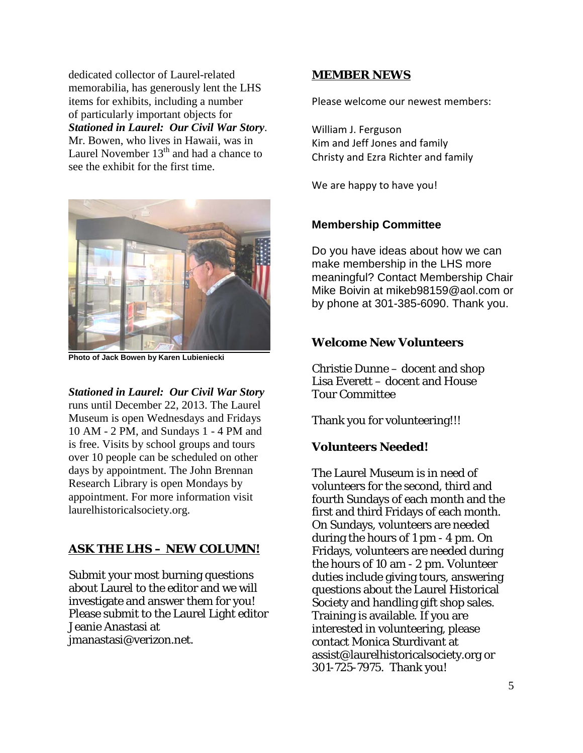dedicated collector of Laurel-related memorabilia, has generously lent the LHS items for exhibits, including a number of particularly important objects for *Stationed in Laurel: Our Civil War Story*. Mr. Bowen, who lives in Hawaii, was in Laurel November  $13<sup>th</sup>$  and had a chance to see the exhibit for the first time.



**Photo of Jack Bowen by Karen Lubieniecki** 

*Stationed in Laurel: Our Civil War Story* runs until December 22, 2013. The Laurel Museum is open Wednesdays and Fridays 10 AM - 2 PM, and Sundays 1 - 4 PM and is free. Visits by school groups and tours over 10 people can be scheduled on other days by appointment. The John Brennan Research Library is open Mondays by appointment. For more information visit laurelhistoricalsociety.org.

#### **ASK THE LHS – NEW COLUMN!**

Submit your most burning questions about Laurel to the editor and we will investigate and answer them for you! Please submit to the Laurel Light editor Jeanie Anastasi at jmanastasi@verizon.net.

#### **MEMBER NEWS**

Please welcome our newest members:

William J. Ferguson Kim and Jeff Jones and family Christy and Ezra Richter and family

We are happy to have you!

#### **Membership Committee**

Do you have ideas about how we can make membership in the LHS more meaningful? Contact Membership Chair Mike Boivin at [mikeb98159@aol.com](mailto:mikeb98159@aol.com) or by phone at 301-385-6090. Thank you.

#### **Welcome New Volunteers**

Christie Dunne – docent and shop Lisa Everett – docent and House Tour Committee

Thank you for volunteering!!!

#### **Volunteers Needed!**

The Laurel Museum is in need of volunteers for the second, third and fourth Sundays of each month and the first and third Fridays of each month. On Sundays, volunteers are needed during the hours of 1 pm - 4 pm. On Fridays, volunteers are needed during the hours of 10 am - 2 pm. Volunteer duties include giving tours, answering questions about the Laurel Historical Society and handling gift shop sales. Training is available. If you are interested in volunteering, please contact Monica Sturdivant at [assist@laurelhistoricalsociety.org](mailto:assist@laurelhistoricalsociety.org) or 301-725-7975. Thank you!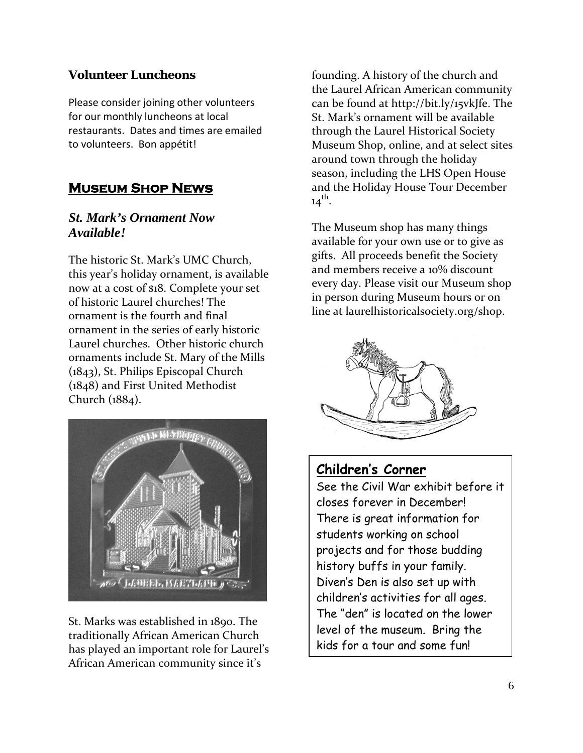### **Volunteer Luncheons**

Please consider joining other volunteers for our monthly luncheons at local restaurants. Dates and times are emailed to volunteers. Bon appétit!

## **Museum Shop News**

## *St. Mark's Ornament Now Available!*

The historic St. Mark's UMC Church, this year's holiday ornament, is available now at a cost of \$18. Complete your set of historic Laurel churches! The ornament is the fourth and final ornament in the series of early historic Laurel churches. Other historic church ornaments include St. Mary of the Mills (1843), St. Philips Episcopal Church (1848) and First United Methodist Church (1884).



St. Marks was established in 1890. The traditionally African American Church has played an important role for Laurel's African American community since it's

founding. A history of the church and the Laurel African American community can be found at [http://bit.ly/15vkJfe.](http://bit.ly/15vkJfe) The St. Mark's ornament will be available through the Laurel Historical Society Museum Shop, online, and at select sites around town through the holiday season, including the LHS Open House and the Holiday House Tour December  $14^{th}$ .

The Museum shop has many things available for your own use or to give as gifts. All proceeds benefit the Society and members receive a 10% discount every day. Please visit our Museum shop in person during Museum hours or on line at laurelhistoricalsociety.org/shop.



## **Children's Corner**

See the Civil War exhibit before it closes forever in December! There is great information for students working on school projects and for those budding history buffs in your family. Diven's Den is also set up with children's activities for all ages. The "den" is located on the lower level of the museum. Bring the kids for a tour and some fun!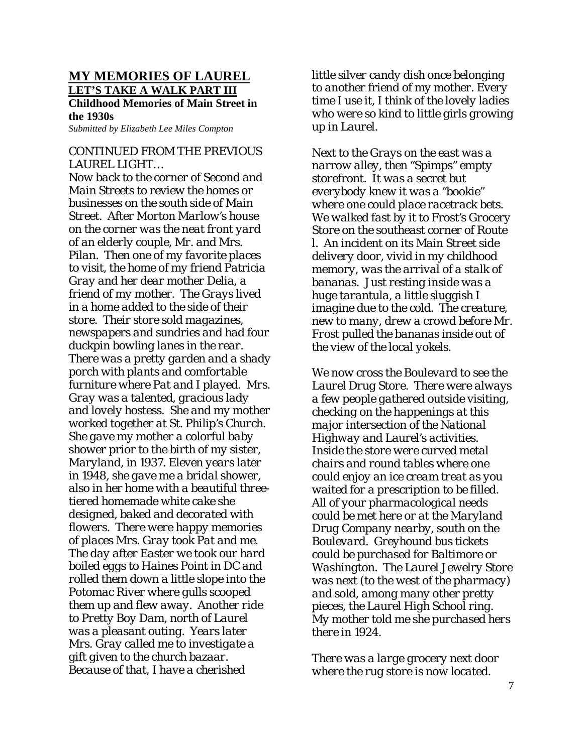### **MY MEMORIES OF LAUREL LET'S TAKE A WALK PART III**

**Childhood Memories of Main Street in the 1930s**

*Submitted by Elizabeth Lee Miles Compton*

#### *CONTINUED FROM THE PREVIOUS LAUREL LIGHT…*

*Now back to the corner of Second and Main Streets to review the homes or businesses on the south side of Main Street. After Morton Marlow's house on the corner was the neat front yard of an elderly couple, Mr. and Mrs. Pilan. Then one of my favorite places to visit, the home of my friend Patricia Gray and her dear mother Delia, a friend of my mother. The Grays lived in a home added to the side of their store. Their store sold magazines, newspapers and sundries and had four duckpin bowling lanes in the rear. There was a pretty garden and a shady porch with plants and comfortable furniture where Pat and I played. Mrs. Gray was a talented, gracious lady and lovely hostess. She and my mother worked together at St. Philip's Church. She gave my mother a colorful baby shower prior to the birth of my sister, Maryland, in 1937. Eleven years later in 1948, she gave me a bridal shower, also in her home with a beautiful threetiered homemade white cake she designed, baked and decorated with flowers. There were happy memories of places Mrs. Gray took Pat and me. The day after Easter we took our hard boiled eggs to Haines Point in DC and rolled them down a little slope into the Potomac River where gulls scooped them up and flew away. Another ride to Pretty Boy Dam, north of Laurel was a pleasant outing. Years later Mrs. Gray called me to investigate a gift given to the church bazaar. Because of that, I have a cherished* 

*little silver candy dish once belonging to another friend of my mother. Every time I use it, I think of the lovely ladies who were so kind to little girls growing up in Laurel.*

*Next to the Grays on the east was a narrow alley, then "Spimps" empty storefront. It was a secret but everybody knew it was a "bookie" where one could place racetrack bets. We walked fast by it to Frost's Grocery Store on the southeast corner of Route l. An incident on its Main Street side delivery door, vivid in my childhood memory, was the arrival of a stalk of bananas. Just resting inside was a huge tarantula, a little sluggish I imagine due to the cold. The creature, new to many, drew a crowd before Mr. Frost pulled the bananas inside out of the view of the local yokels.*

*We now cross the Boulevard to see the Laurel Drug Store. There were always a few people gathered outside visiting, checking on the happenings at this major intersection of the National Highway and Laurel's activities. Inside the store were curved metal chairs and round tables where one could enjoy an ice cream treat as you waited for a prescription to be filled. All of your pharmacological needs could be met here or at the Maryland Drug Company nearby, south on the Boulevard. Greyhound bus tickets could be purchased for Baltimore or Washington. The Laurel Jewelry Store was next (to the west of the pharmacy) and sold, among many other pretty pieces, the Laurel High School ring. My mother told me she purchased hers there in 1924.*

*There was a large grocery next door where the rug store is now located.*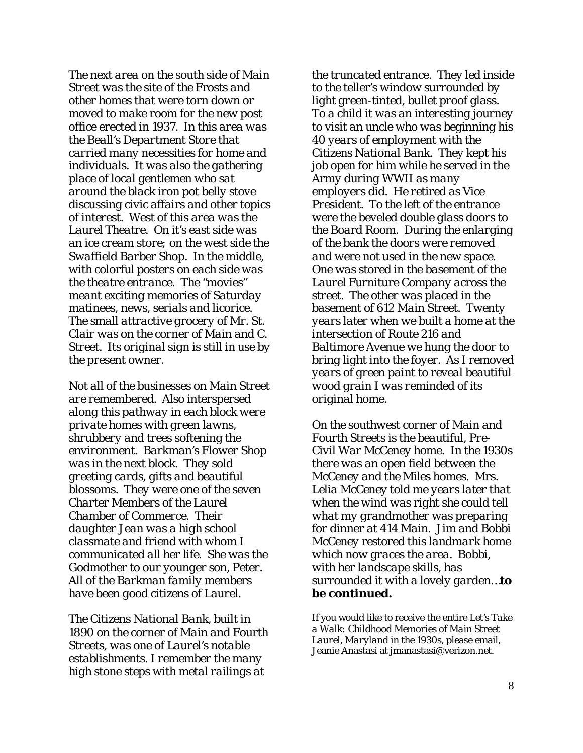*The next area on the south side of Main Street was the site of the Frosts and other homes that were torn down or moved to make room for the new post office erected in 1937. In this area was the Beall's Department Store that carried many necessities for home and individuals. It was also the gathering place of local gentlemen who sat around the black iron pot belly stove discussing civic affairs and other topics of interest. West of this area was the Laurel Theatre. On it's east side was an ice cream store; on the west side the Swaffield Barber Shop. In the middle, with colorful posters on each side was the theatre entrance. The "movies" meant exciting memories of Saturday matinees, news, serials and licorice. The small attractive grocery of Mr. St. Clair was on the corner of Main and C. Street. Its original sign is still in use by the present owner.*

*Not all of the businesses on Main Street are remembered. Also interspersed along this pathway in each block were private homes with green lawns, shrubbery and trees softening the environment. Barkman's Flower Shop was in the next block. They sold greeting cards, gifts and beautiful blossoms. They were one of the seven Charter Members of the Laurel Chamber of Commerce. Their daughter Jean was a high school classmate and friend with whom I communicated all her life. She was the Godmother to our younger son, Peter. All of the Barkman family members have been good citizens of Laurel.* 

*The Citizens National Bank, built in 1890 on the corner of Main and Fourth Streets, was one of Laurel's notable establishments. I remember the many high stone steps with metal railings at* 

*the truncated entrance. They led inside to the teller's window surrounded by light green-tinted, bullet proof glass. To a child it was an interesting journey to visit an uncle who was beginning his 40 years of employment with the Citizens National Bank. They kept his job open for him while he served in the Army during WWII as many employers did. He retired as Vice President. To the left of the entrance were the beveled double glass doors to the Board Room. During the enlarging of the bank the doors were removed and were not used in the new space. One was stored in the basement of the Laurel Furniture Company across the street. The other was placed in the basement of 612 Main Street. Twenty years later when we built a home at the intersection of Route 216 and Baltimore Avenue we hung the door to bring light into the foyer. As I removed years of green paint to reveal beautiful wood grain I was reminded of its original home.*

*On the southwest corner of Main and Fourth Streets is the beautiful, Pre-Civil War McCeney home. In the 1930s there was an open field between the McCeney and the Miles homes. Mrs. Lelia McCeney told me years later that when the wind was right she could tell what my grandmother was preparing for dinner at 414 Main. Jim and Bobbi McCeney restored this landmark home which now graces the area. Bobbi, with her landscape skills, has surrounded it with a lovely garden…to be continued.*

If you would like to receive the entire *Let's Take a Walk: Childhood Memories of Main Street Laurel, Maryland in the 1930s*, please email, Jeanie Anastasi at jmanastasi@verizon.net.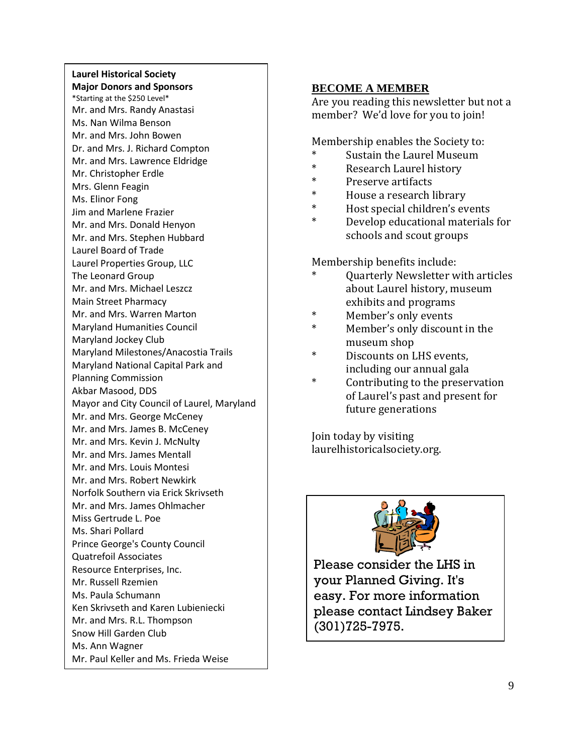#### **Laurel Historical Society Major Donors and Sponsors**

\*Starting at the \$250 Level\* Mr. and Mrs. Randy Anastasi Ms. Nan Wilma Benson Mr. and Mrs. John Bowen Dr. and Mrs. J. Richard Compton Mr. and Mrs. Lawrence Eldridge Mr. Christopher Erdle Mrs. Glenn Feagin Ms. Elinor Fong Jim and Marlene Frazier Mr. and Mrs. Donald Henyon Mr. and Mrs. Stephen Hubbard Laurel Board of Trade Laurel Properties Group, LLC The Leonard Group Mr. and Mrs. Michael Leszcz Main Street Pharmacy Mr. and Mrs. Warren Marton Maryland Humanities Council Maryland Jockey Club Maryland Milestones/Anacostia Trails Maryland National Capital Park and Planning Commission Akbar Masood, DDS Mayor and City Council of Laurel, Maryland Mr. and Mrs. George McCeney Mr. and Mrs. James B. McCeney Mr. and Mrs. Kevin J. McNulty Mr. and Mrs. James Mentall Mr. and Mrs. Louis Montesi Mr. and Mrs. Robert Newkirk Norfolk Southern via Erick Skrivseth Mr. and Mrs. James Ohlmacher Miss Gertrude L. Poe Ms. Shari Pollard Prince George's County Council Quatrefoil Associates Resource Enterprises, Inc. Mr. Russell Rzemien Ms. Paula Schumann Ken Skrivseth and Karen Lubieniecki Mr. and Mrs. R.L. Thompson Snow Hill Garden Club Ms. Ann Wagner Mr. Paul Keller and Ms. Frieda Weise

#### **BECOME A MEMBER**

Are you reading this newsletter but not a member? We'd love for you to join!

Membership enables the Society to:

- \* Sustain the Laurel Museum
- \* Research Laurel history<br>\* Presence extincts
- \* Preserve artifacts
- \* House a research library<br>\* Host anggiel shildnes's an
- Host special children's events
- Develop educational materials for schools and scout groups

Membership benefits include:

- Quarterly Newsletter with articles about Laurel history, museum exhibits and programs
- Member's only events
- Member's only discount in the museum shop
- Discounts on LHS events, including our annual gala
- \* Contributing to the preservation of Laurel's past and present for future generations

Join today by visiting [laurelhistoricalsociety.org.](http://www.laurelhistoricalsociety.org/)



Please consider the LHS in your Planned Giving. It's easy. For more information please contact Lindsey Baker (301)725-7975.